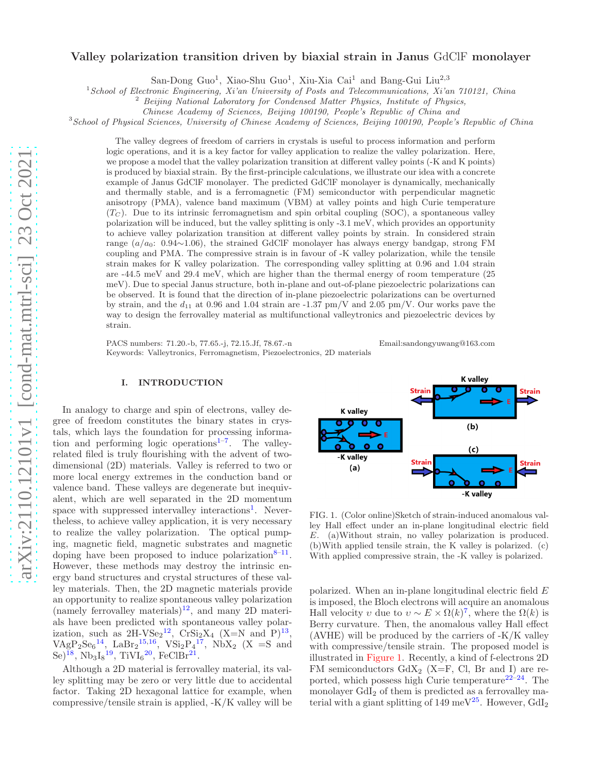## Valley polarization transition driven by biaxial strain in Janus GdClF monolayer

San-Dong Guo<sup>1</sup>, Xiao-Shu Guo<sup>1</sup>, Xiu-Xia Cai<sup>1</sup> and Bang-Gui Liu<sup>2,3</sup>

<sup>1</sup> School of Electronic Engineering, Xi'an University of Posts and Telecommunications, Xi'an 710121, China

<sup>2</sup> Beijing National Laboratory for Condensed Matter Physics, Institute of Physics,

Chinese Academy of Sciences, Beijing 100190, People's Republic of China and

<sup>3</sup>School of Physical Sciences, University of Chinese Academy of Sciences, Beijing 100190, People's Republic of China

The valley degrees of freedom of carriers in crystals is useful to process information and perform logic operations, and it is a key factor for valley application to realize the valley polarization. Here, we propose a model that the valley polarization transition at different valley points (-K and K points) is produced by biaxial strain. By the first-principle calculations, we illustrate our idea with a concrete example of Janus GdClF monolayer. The predicted GdClF monolayer is dynamically, mechanically and thermally stable, and is a ferromagnetic (FM) semiconductor with perpendicular magnetic anisotropy (PMA), valence band maximum (VBM) at valley points and high Curie temperature  $(T_C)$ . Due to its intrinsic ferromagnetism and spin orbital coupling (SOC), a spontaneous valley polarization will be induced, but the valley splitting is only -3.1 meV, which provides an opportunity to achieve valley polarization transition at different valley points by strain. In considered strain range  $(a/a_0: 0.94\sim1.06)$ , the strained GdClF monolayer has always energy bandgap, strong FM coupling and PMA. The compressive strain is in favour of -K valley polarization, while the tensile strain makes for K valley polarization. The corresponding valley splitting at 0.96 and 1.04 strain are -44.5 meV and 29.4 meV, which are higher than the thermal energy of room temperature (25 meV). Due to special Janus structure, both in-plane and out-of-plane piezoelectric polarizations can be observed. It is found that the direction of in-plane piezoelectric polarizations can be overturned by strain, and the  $d_{11}$  at 0.96 and 1.04 strain are -1.37 pm/V and 2.05 pm/V. Our works pave the way to design the ferrovalley material as multifunctional valleytronics and piezoelectric devices by strain.

PACS numbers: 71.20.-b, 77.65.-j, 72.15.Jf, 78.67.-n Email:sandongyuwang@163.com Keywords: Valleytronics, Ferromagnetism, Piezoelectronics, 2D materials

#### I. INTRODUCTION

In analogy to charge and spin of electrons, valley degree of freedom constitutes the binary states in crystals, which lays the foundation for processing information and performing logic operations<sup>1-7</sup>. The valleyrelated filed is truly flourishing with the advent of twodimensional (2D) materials. Valley is referred to two or more local energy extremes in the conduction band or valence band. These valleys are degenerate but inequivalent, which are well separated in the 2D momentum space with suppressed intervalley interactions<sup>1</sup>. Nevertheless, to achieve valley application, it is very necessary to realize the valley polarization. The optical pumping, magnetic field, magnetic substrates and magnetic doping have been proposed to induce polarization  $8-11$ . However, these methods may destroy the intrinsic energy band structures and crystal structures of these valley materials. Then, the 2D magnetic materials provide an opportunity to realize spontaneous valley polarization (namely ferrovalley materials)<sup>12</sup>, and many 2D materials have been predicted with spontaneous valley polarization, such as  $2H\text{-}V\text{Se}_2^{12}$ ,  $Cr\text{Si}_2X_4$  (X=N and P)<sup>13</sup>,  $VAgP_2Se_6^{14}$ , LaBr<sub>2</sub><sup>15,16</sup>, VSi<sub>2</sub>P<sub>4</sub><sup>17</sup>, NbX<sub>2</sub> (X =S and  ${\rm Se})^{18}$ ,  ${\rm Nb_3I_8}^{19}$ ,  ${\rm TiVI_6}^{20}$ ,  ${\rm FeClBr^{21}}$ .

Although a 2D material is ferrovalley material, its valley splitting may be zero or very little due to accidental factor. Taking 2D hexagonal lattice for example, when compressive/tensile strain is applied, -K/K valley will be



FIG. 1. (Color online)Sketch of strain-induced anomalous valley Hall effect under an in-plane longitudinal electric field E. (a)Without strain, no valley polarization is produced. (b)With applied tensile strain, the K valley is polarized. (c) With applied compressive strain, the -K valley is polarized.

polarized. When an in-plane longitudinal electric field E is imposed, the Bloch electrons will acquire an anomalous Hall velocity v due to  $v \sim E \times \Omega(k)^7$ , where the  $\Omega(k)$  is Berry curvature. Then, the anomalous valley Hall effect (AVHE) will be produced by the carriers of -K/K valley with compressive/tensile strain. The proposed model is illustrated in Figure 1. Recently, a kind of f-electrons 2D FM semiconductors  $GdX_2$  (X=F, Cl, Br and I) are reported, which possess high Curie temperature<sup>22–24</sup>. The monolayer GdI<sub>2</sub> of them is predicted as a ferrovalley material with a giant splitting of 149 meV<sup>25</sup>. However,  $GdI<sub>2</sub>$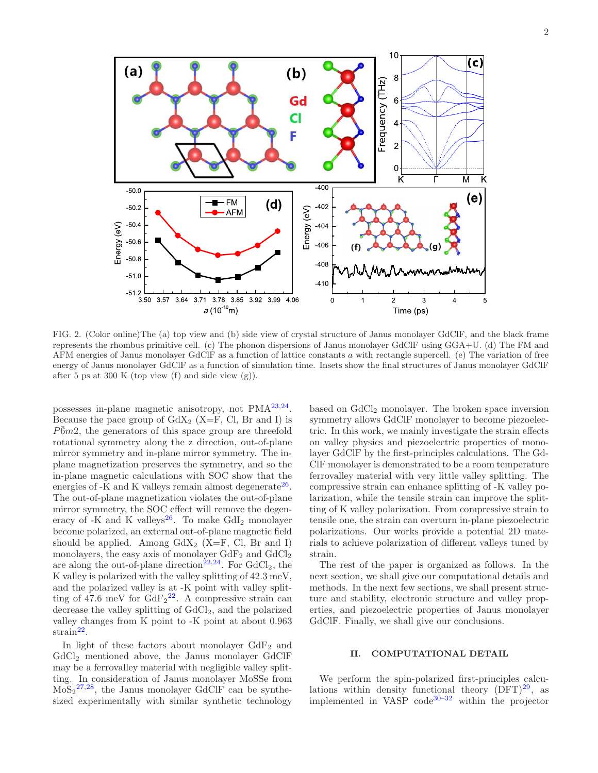

FIG. 2. (Color online)The (a) top view and (b) side view of crystal structure of Janus monolayer GdClF, and the black frame represents the rhombus primitive cell. (c) The phonon dispersions of Janus monolayer GdClF using GGA+U. (d) The FM and AFM energies of Janus monolayer GdClF as a function of lattice constants a with rectangle supercell. (e) The variation of free energy of Janus monolayer GdClF as a function of simulation time. Insets show the final structures of Janus monolayer GdClF after 5 ps at 300 K (top view  $(f)$  and side view  $(g)$ ).

possesses in-plane magnetic anisotropy, not PMA<sup>23,24</sup>. Because the pace group of  $GdX_2$  (X=F, Cl, Br and I) is  $P\bar{6}m2$ , the generators of this space group are threefold rotational symmetry along the z direction, out-of-plane mirror symmetry and in-plane mirror symmetry. The inplane magnetization preserves the symmetry, and so the in-plane magnetic calculations with SOC show that the energies of  $-K$  and K valleys remain almost degenerate<sup>26</sup>. The out-of-plane magnetization violates the out-of-plane mirror symmetry, the SOC effect will remove the degeneracy of -K and K valleys<sup>26</sup>. To make  $GdI<sub>2</sub>$  monolayer become polarized, an external out-of-plane magnetic field should be applied. Among  $GdX_2$  (X=F, Cl, Br and I) monolayers, the easy axis of monolayer  $GdF_2$  and  $GdCl_2$ are along the out-of-plane direction<sup>22,24</sup>. For  $GdCl<sub>2</sub>$ , the K valley is polarized with the valley splitting of 42.3 meV, and the polarized valley is at -K point with valley splitting of 47.6 meV for  $GdF_2^{22}$ . A compressive strain can decrease the valley splitting of  $GdCl<sub>2</sub>$ , and the polarized valley changes from K point to -K point at about 0.963  $strain<sup>22</sup>$ .

In light of these factors about monolayer GdF<sup>2</sup> and GdCl<sup>2</sup> mentioned above, the Janus monolayer GdClF may be a ferrovalley material with negligible valley splitting. In consideration of Janus monolayer MoSSe from  $MoS<sub>2</sub><sup>27,28</sup>$ , the Janus monolayer GdClF can be synthesized experimentally with similar synthetic technology

based on GdCl<sub>2</sub> monolayer. The broken space inversion symmetry allows GdClF monolayer to become piezoelectric. In this work, we mainly investigate the strain effects on valley physics and piezoelectric properties of monolayer GdClF by the first-principles calculations. The Gd-ClF monolayer is demonstrated to be a room temperature ferrovalley material with very little valley splitting. The compressive strain can enhance splitting of -K valley polarization, while the tensile strain can improve the splitting of K valley polarization. From compressive strain to tensile one, the strain can overturn in-plane piezoelectric polarizations. Our works provide a potential 2D materials to achieve polarization of different valleys tuned by strain.

The rest of the paper is organized as follows. In the next section, we shall give our computational details and methods. In the next few sections, we shall present structure and stability, electronic structure and valley properties, and piezoelectric properties of Janus monolayer GdClF. Finally, we shall give our conclusions.

### II. COMPUTATIONAL DETAIL

We perform the spin-polarized first-principles calculations within density functional theory  $(DFT)^{29}$ , as implemented in  $VASP$  code<sup>30–32</sup> within the projector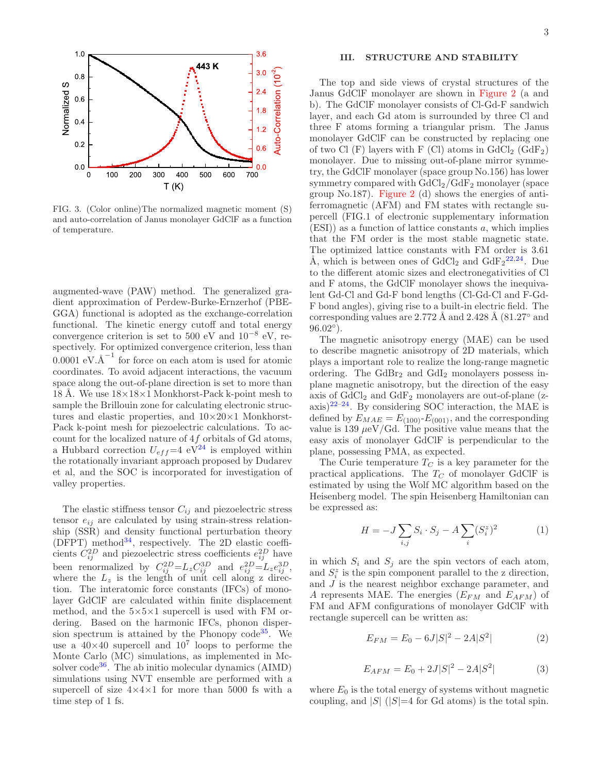

FIG. 3. (Color online)The normalized magnetic moment (S) and auto-correlation of Janus monolayer GdClF as a function of temperature.

augmented-wave (PAW) method. The generalized gradient approximation of Perdew-Burke-Ernzerhof (PBE-GGA) functional is adopted as the exchange-correlation functional. The kinetic energy cutoff and total energy convergence criterion is set to 500 eV and  $10^{-8}$  eV, respectively. For optimized convergence criterion, less than  $\overline{0.0001}$  eV. $\overline{\text{A}}^{-1}$  for force on each atom is used for atomic coordinates. To avoid adjacent interactions, the vacuum space along the out-of-plane direction is set to more than 18 Å. We use  $18\times18\times1$  Monkhorst-Pack k-point mesh to sample the Brillouin zone for calculating electronic structures and elastic properties, and  $10\times20\times1$  Monkhorst-Pack k-point mesh for piezoelectric calculations. To account for the localized nature of  $4f$  orbitals of Gd atoms, a Hubbard correction  $U_{eff}$ =4 eV<sup>24</sup> is employed within the rotationally invariant approach proposed by Dudarev et al, and the SOC is incorporated for investigation of valley properties.

The elastic stiffness tensor  $C_{ij}$  and piezoelectric stress tensor  $e_{ij}$  are calculated by using strain-stress relationship (SSR) and density functional perturbation theory  $(DFPT)$  method<sup>34</sup>, respectively. The 2D elastic coefficients  $C_{ij}^{2D}$  and piezoelectric stress coefficients  $e_{ij}^{2D}$  have been renormalized by  $C_{ij}^{2D} = L_z C_{ij}^{3D}$  and  $e_{ij}^{2D} = L_z e_{ij}^{3D}$ , where the  $L_z$  is the length of unit cell along z direction. The interatomic force constants (IFCs) of monolayer GdClF are calculated within finite displacement method, and the  $5\times5\times1$  supercell is used with FM ordering. Based on the harmonic IFCs, phonon dispersion spectrum is attained by the Phonopy code<sup>35</sup>. We use a  $40\times40$  supercell and  $10^7$  loops to performe the Monte Carlo (MC) simulations, as implemented in Mcsolver  $code^{36}$ . The ab initio molecular dynamics (AIMD) simulations using NVT ensemble are performed with a supercell of size  $4 \times 4 \times 1$  for more than 5000 fs with a time step of 1 fs.

### III. STRUCTURE AND STABILITY

The top and side views of crystal structures of the Janus GdClF monolayer are shown in Figure 2 (a and b). The GdClF monolayer consists of Cl-Gd-F sandwich layer, and each Gd atom is surrounded by three Cl and three F atoms forming a triangular prism. The Janus monolayer GdClF can be constructed by replacing one of two Cl  $(F)$  layers with F  $(Cl)$  atoms in  $GdCl_2$   $(GdF_2)$ monolayer. Due to missing out-of-plane mirror symmetry, the GdClF monolayer (space group No.156) has lower symmetry compared with  $GdCl<sub>2</sub>/GdF<sub>2</sub>$  monolayer (space group No.187). Figure 2 (d) shows the energies of antiferromagnetic (AFM) and FM states with rectangle supercell (FIG.1 of electronic supplementary information  $(ESI)$ ) as a function of lattice constants a, which implies that the FM order is the most stable magnetic state. The optimized lattice constants with FM order is 3.61 Å, which is between ones of  $GdCl_2$  and  $GdF_2^{22,24}$ . Due to the different atomic sizes and electronegativities of Cl and F atoms, the GdClF monolayer shows the inequivalent Gd-Cl and Gd-F bond lengths (Cl-Gd-Cl and F-Gd-F bond angles), giving rise to a built-in electric field. The corresponding values are  $2.772 \text{ Å}$  and  $2.428 \text{ Å}$  (81.27 $^{\circ}$  and  $96.02^{\circ}$ ).

The magnetic anisotropy energy (MAE) can be used to describe magnetic anisotropy of 2D materials, which plays a important role to realize the long-range magnetic ordering. The  $GdBr<sub>2</sub>$  and  $GdI<sub>2</sub>$  monolayers possess inplane magnetic anisotropy, but the direction of the easy axis of  $GdCl<sub>2</sub>$  and  $GdF<sub>2</sub>$  monolayers are out-of-plane (zaxis)<sup>22–24</sup>. By considering SOC interaction, the MAE is defined by  $E_{MAE} = E_{(100)}E_{(001)}$ , and the corresponding value is 139  $\mu$ eV/Gd. The positive value means that the easy axis of monolayer GdClF is perpendicular to the plane, possessing PMA, as expected.

The Curie temperature  $T_C$  is a key parameter for the practical applications. The  $T_C$  of monolayer GdClF is estimated by using the Wolf MC algorithm based on the Heisenberg model. The spin Heisenberg Hamiltonian can be expressed as:

$$
H = -J \sum_{i,j} S_i \cdot S_j - A \sum_i (S_i^z)^2 \tag{1}
$$

in which  $S_i$  and  $S_j$  are the spin vectors of each atom, and  $S_i^z$  is the spin component parallel to the z direction, and J is the nearest neighbor exchange parameter, and A represents MAE. The energies  $(E_{FM}$  and  $E_{AFM}$ ) of FM and AFM configurations of monolayer GdClF with rectangle supercell can be written as:

$$
E_{FM} = E_0 - 6J|S|^2 - 2A|S^2| \tag{2}
$$

$$
E_{AFM} = E_0 + 2J|S|^2 - 2A|S^2| \tag{3}
$$

where  $E_0$  is the total energy of systems without magnetic coupling, and  $|S|$  ( $|S|=4$  for Gd atoms) is the total spin.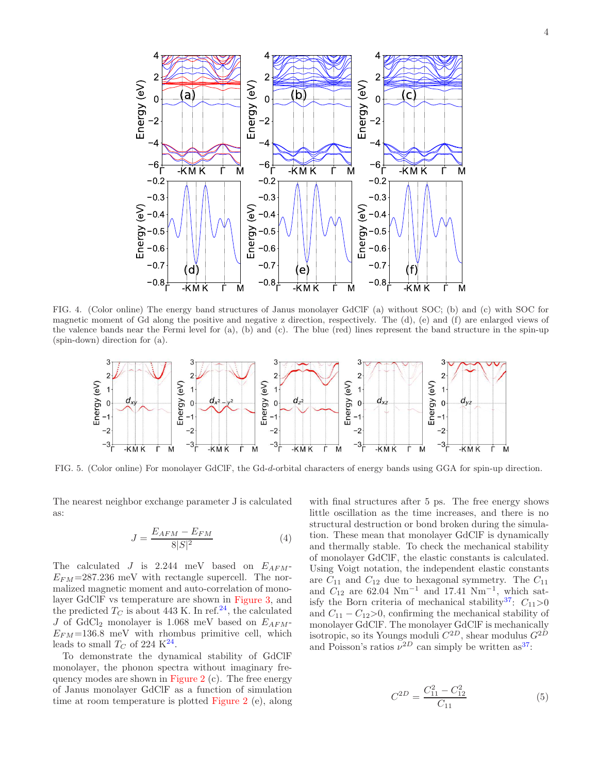

FIG. 4. (Color online) The energy band structures of Janus monolayer GdClF (a) without SOC; (b) and (c) with SOC for magnetic moment of Gd along the positive and negative z direction, respectively. The (d), (e) and (f) are enlarged views of the valence bands near the Fermi level for (a), (b) and (c). The blue (red) lines represent the band structure in the spin-up (spin-down) direction for (a).



FIG. 5. (Color online) For monolayer GdClF, the Gd-d-orbital characters of energy bands using GGA for spin-up direction.

The nearest neighbor exchange parameter J is calculated as:

$$
J = \frac{E_{AFM} - E_{FM}}{8|S|^2} \tag{4}
$$

The calculated J is 2.244 meV based on  $E_{AFM}$ - $E_{FM}$ =287.236 meV with rectangle supercell. The normalized magnetic moment and auto-correlation of monolayer GdClF vs temperature are shown in Figure 3, and the predicted  $T_C$  is about 443 K. In ref.<sup>24</sup>, the calculated J of GdCl<sub>2</sub> monolayer is 1.068 meV based on  $E_{AFM}$ - $E_{FM}$ =136.8 meV with rhombus primitive cell, which leads to small  $T_C$  of 224 K<sup>24</sup>.

To demonstrate the dynamical stability of GdClF monolayer, the phonon spectra without imaginary frequency modes are shown in Figure 2 (c). The free energy of Janus monolayer GdClF as a function of simulation time at room temperature is plotted Figure 2 (e), along

with final structures after 5 ps. The free energy shows little oscillation as the time increases, and there is no structural destruction or bond broken during the simulation. These mean that monolayer GdClF is dynamically and thermally stable. To check the mechanical stability of monolayer GdClF, the elastic constants is calculated. Using Voigt notation, the independent elastic constants are  $C_{11}$  and  $C_{12}$  due to hexagonal symmetry. The  $C_{11}$ and  $C_{12}$  are 62.04 Nm<sup>-1</sup> and 17.41 Nm<sup>-1</sup>, which satisfy the Born criteria of mechanical stability<sup>37</sup>:  $C_{11}>0$ and  $C_{11} - C_{12} > 0$ , confirming the mechanical stability of monolayer GdClF. The monolayer GdClF is mechanically isotropic, so its Youngs moduli  $C^{2D}$ , shear modulus  $G^{2D}$ and Poisson's ratios  $\nu^{2D}$  can simply be written as<sup>37</sup>:

$$
C^{2D} = \frac{C_{11}^2 - C_{12}^2}{C_{11}}\tag{5}
$$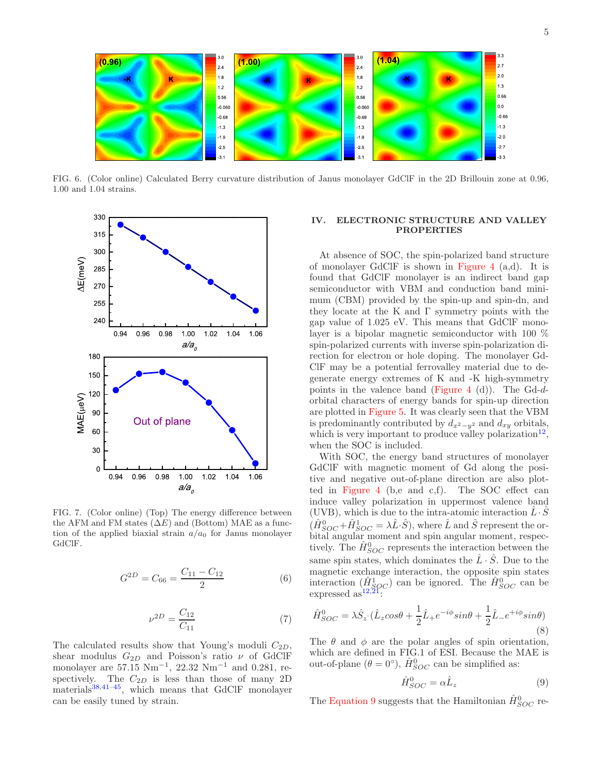

FIG. 6. (Color online) Calculated Berry curvature distribution of Janus monolayer GdClF in the 2D Brillouin zone at 0.96, 1.00 and 1.04 strains.



FIG. 7. (Color online) (Top) The energy difference between the AFM and FM states  $(\Delta E)$  and (Bottom) MAE as a function of the applied biaxial strain  $a/a_0$  for Janus monolayer GdClF.

$$
G^{2D} = C_{66} = \frac{C_{11} - C_{12}}{2} \tag{6}
$$

$$
\nu^{2D} = \frac{C_{12}}{C_{11}}\tag{7}
$$

The calculated results show that Young's moduli  $C_{2D}$ , shear modulus  $G_{2D}$  and Poisson's ratio  $\nu$  of GdClF monolayer are  $57.15 \text{ Nm}^{-1}$ ,  $22.32 \text{ Nm}^{-1}$  and 0.281, respectively. The  $C_{2D}$  is less than those of many 2D materials $38,41-45$ , which means that GdClF monolayer can be easily tuned by strain.

# IV. ELECTRONIC STRUCTURE AND VALLEY PROPERTIES

At absence of SOC, the spin-polarized band structure of monolayer GdClF is shown in Figure 4 (a,d). It is found that GdClF monolayer is an indirect band gap semiconductor with VBM and conduction band minimum (CBM) provided by the spin-up and spin-dn, and they locate at the K and  $\Gamma$  symmetry points with the gap value of 1.025 eV. This means that GdClF monolayer is a bipolar magnetic semiconductor with 100 % spin-polarized currents with inverse spin-polarization direction for electron or hole doping. The monolayer Gd-ClF may be a potential ferrovalley material due to degenerate energy extremes of K and -K high-symmetry points in the valence band (Figure 4 (d)). The Gd- $d$ orbital characters of energy bands for spin-up direction are plotted in Figure 5. It was clearly seen that the VBM is predominantly contributed by  $d_{x^2-y^2}$  and  $d_{xy}$  orbitals, which is very important to produce valley polarization<sup>12</sup>, when the SOC is included.

With SOC, the energy band structures of monolayer GdClF with magnetic moment of Gd along the positive and negative out-of-plane direction are also plotted in Figure 4 (b,e and c,f). The SOC effect can induce valley polarization in uppermost valence band (UVB), which is due to the intra-atomic interaction  $L \cdot S$  $(\hat{H}_{SOC}^{0} + \hat{H}_{SOC}^{1} = \lambda \hat{L} \cdot \hat{S})$ , where  $\hat{L}$  and  $\hat{S}$  represent the orbital angular moment and spin angular moment, respectively. The  $\hat{H}_{SOC}^{0}$  represents the interaction between the same spin states, which dominates the  $\hat{L} \cdot \hat{S}$ . Due to the magnetic exchange interaction, the opposite spin states interaction  $(\hat{H}^1_{SOC})$  can be ignored. The  $\hat{H}^0_{SOC}$  can be expressed as  $12,21$ :

$$
\hat{H}_{SOC}^{0} = \lambda \hat{S}_{z} \cdot (\hat{L}_{z} \cos \theta + \frac{1}{2} \hat{L}_{+} e^{-i\phi} \sin \theta + \frac{1}{2} \hat{L}_{-} e^{+i\phi} \sin \theta)
$$
\n(8)

The  $\theta$  and  $\phi$  are the polar angles of spin orientation, which are defined in FIG.1 of ESI. Because the MAE is out-of-plane  $(\theta = 0^{\circ}), \hat{H}_{SOC}^{0}$  can be simplified as:

$$
\hat{H}_{SOC}^{0} = \alpha \hat{L}_{z} \tag{9}
$$

The Equation 9 suggests that the Hamiltonian  $\hat{H}_{SOC}^{0}$  re-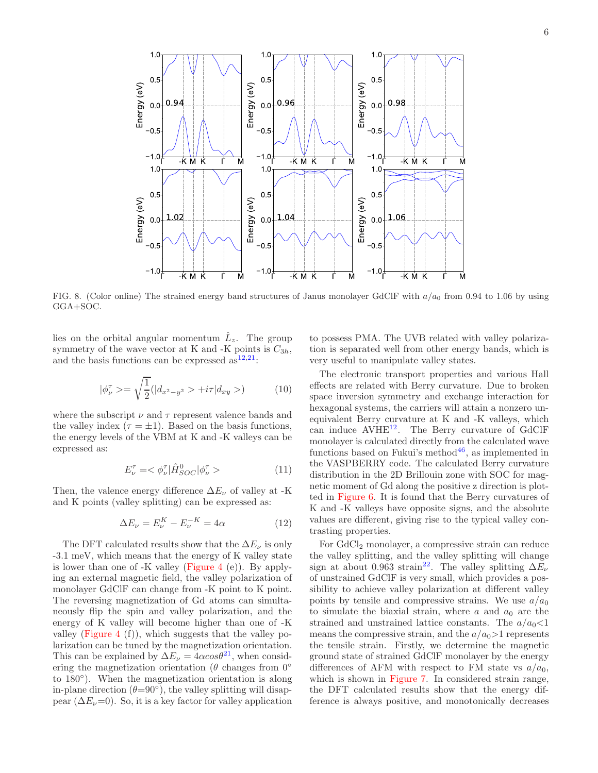

FIG. 8. (Color online) The strained energy band structures of Janus monolayer GdClF with  $a/a_0$  from 0.94 to 1.06 by using GGA+SOC.

lies on the orbital angular momentum  $\hat{L}_z$ . The group symmetry of the wave vector at K and -K points is  $C_{3h}$ , and the basis functions can be expressed  $as^{12,21}$ :

$$
|\phi_{\nu}^{\tau}\rangle = \sqrt{\frac{1}{2}}(|d_{x^2-y^2}\rangle + i\tau|d_{xy}\rangle) \tag{10}
$$

where the subscript  $\nu$  and  $\tau$  represent valence bands and the valley index ( $\tau = \pm 1$ ). Based on the basis functions, the energy levels of the VBM at K and -K valleys can be expressed as:

$$
E_{\nu}^{\tau} = \langle \phi_{\nu}^{\tau} | \hat{H}_{SOC}^{0} | \phi_{\nu}^{\tau} \rangle \tag{11}
$$

Then, the valence energy difference  $\Delta E_{\nu}$  of valley at -K and K points (valley splitting) can be expressed as:

$$
\Delta E_{\nu} = E_{\nu}^{K} - E_{\nu}^{-K} = 4\alpha \tag{12}
$$

The DFT calculated results show that the  $\Delta E_{\nu}$  is only -3.1 meV, which means that the energy of K valley state is lower than one of -K valley (Figure 4 (e)). By applying an external magnetic field, the valley polarization of monolayer GdClF can change from -K point to K point. The reversing magnetization of Gd atoms can simultaneously flip the spin and valley polarization, and the energy of K valley will become higher than one of -K valley (Figure 4  $(f)$ ), which suggests that the valley polarization can be tuned by the magnetization orientation. This can be explained by  $\Delta E_{\nu} = 4\alpha cos\theta^{21}$ , when considering the magnetization orientation ( $\theta$  changes from 0° to 180◦ ). When the magnetization orientation is along in-plane direction  $(\theta=90^{\circ})$ , the valley splitting will disappear ( $\Delta E_{\nu}=0$ ). So, it is a key factor for valley application

to possess PMA. The UVB related with valley polarization is separated well from other energy bands, which is very useful to manipulate valley states.

The electronic transport properties and various Hall effects are related with Berry curvature. Due to broken space inversion symmetry and exchange interaction for hexagonal systems, the carriers will attain a nonzero unequivalent Berry curvature at K and -K valleys, which can induce  $AVHE^{12}$ . The Berry curvature of GdClF monolayer is calculated directly from the calculated wave functions based on Fukui's method $46$ , as implemented in the VASPBERRY code. The calculated Berry curvature distribution in the 2D Brillouin zone with SOC for magnetic moment of Gd along the positive z direction is plotted in Figure 6. It is found that the Berry curvatures of K and -K valleys have opposite signs, and the absolute values are different, giving rise to the typical valley contrasting properties.

For GdCl<sub>2</sub> monolayer, a compressive strain can reduce the valley splitting, and the valley splitting will change sign at about 0.963 strain<sup>22</sup>. The valley splitting  $\Delta E_{\nu}$ of unstrained GdClF is very small, which provides a possibility to achieve valley polarization at different valley points by tensile and compressive strains. We use  $a/a_0$ to simulate the biaxial strain, where  $a$  and  $a_0$  are the strained and unstrained lattice constants. The  $a/a_0<1$ means the compressive strain, and the  $a/a_0 > 1$  represents the tensile strain. Firstly, we determine the magnetic ground state of strained GdClF monolayer by the energy differences of AFM with respect to FM state vs  $a/a_0$ , which is shown in Figure 7. In considered strain range, the DFT calculated results show that the energy difference is always positive, and monotonically decreases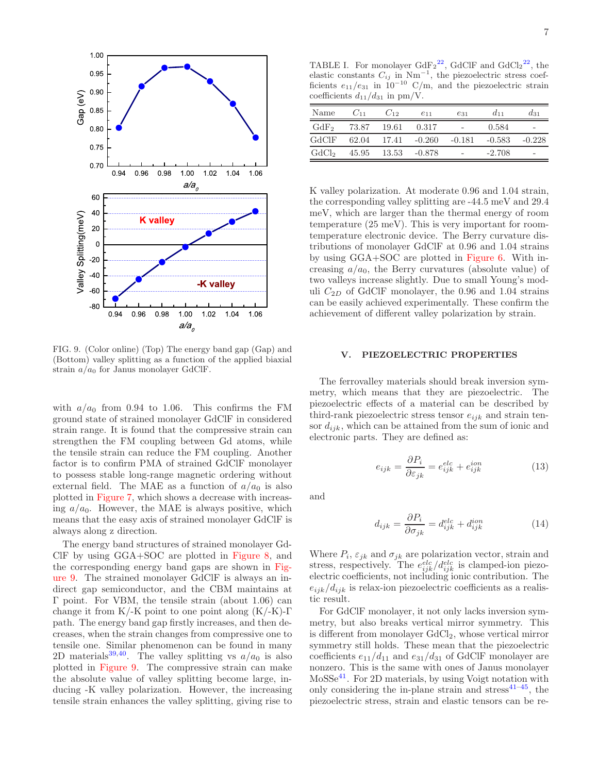

FIG. 9. (Color online) (Top) The energy band gap (Gap) and (Bottom) valley splitting as a function of the applied biaxial strain  $a/a_0$  for Janus monolayer GdClF.

with  $a/a_0$  from 0.94 to 1.06. This confirms the FM ground state of strained monolayer GdClF in considered strain range. It is found that the compressive strain can strengthen the FM coupling between Gd atoms, while the tensile strain can reduce the FM coupling. Another factor is to confirm PMA of strained GdClF monolayer to possess stable long-range magnetic ordering without external field. The MAE as a function of  $a/a_0$  is also plotted in Figure 7, which shows a decrease with increasing  $a/a_0$ . However, the MAE is always positive, which means that the easy axis of strained monolayer GdClF is always along z direction.

The energy band structures of strained monolayer Gd-ClF by using GGA+SOC are plotted in Figure 8, and the corresponding energy band gaps are shown in Figure 9. The strained monolayer GdClF is always an indirect gap semiconductor, and the CBM maintains at Γ point. For VBM, the tensile strain (about 1.06) can change it from  $K/K$  point to one point along  $(K/K)-\Gamma$ path. The energy band gap firstly increases, and then decreases, when the strain changes from compressive one to tensile one. Similar phenomenon can be found in many 2D materials<sup>39,40</sup>. The valley splitting vs  $a/a_0$  is also plotted in Figure 9. The compressive strain can make the absolute value of valley splitting become large, inducing -K valley polarization. However, the increasing tensile strain enhances the valley splitting, giving rise to

TABLE I. For monolayer  $GdF_2^{22}$ ,  $GdClF$  and  $GdCl_2^{22}$ , the elastic constants  $C_{ij}$  in Nm<sup>-1</sup>, the piezoelectric stress coef-<br>ficients  $e_{11}/e_{31}$  in  $10^{-10}$  C/m, and the piezoelectric strain coefficients  $d_{11}/d_{31}$  in pm/V.

| Name              | $C_{11}$ | $C_{12}$ | $e_{11}$        | $e_{31}$ | $d_{11}$ | $d_{31}$ |
|-------------------|----------|----------|-----------------|----------|----------|----------|
| GdF <sub>2</sub>  | 73.87    | 19.61    | 0.317           |          | 0.584    | -        |
| GdClF             | 62.04    |          | $17.41 - 0.260$ | $-0.181$ | $-0.583$ | $-0.228$ |
| GdCl <sub>2</sub> | 45.95    | 13.53    | $-0.878$        |          | $-2.708$ | -        |

K valley polarization. At moderate 0.96 and 1.04 strain, the corresponding valley splitting are -44.5 meV and 29.4 meV, which are larger than the thermal energy of room temperature (25 meV). This is very important for roomtemperature electronic device. The Berry curvature distributions of monolayer GdClF at 0.96 and 1.04 strains by using GGA+SOC are plotted in Figure 6. With increasing  $a/a_0$ , the Berry curvatures (absolute value) of two valleys increase slightly. Due to small Young's moduli  $C_{2D}$  of GdClF monolayer, the 0.96 and 1.04 strains can be easily achieved experimentally. These confirm the achievement of different valley polarization by strain.

## V. PIEZOELECTRIC PROPERTIES

The ferrovalley materials should break inversion symmetry, which means that they are piezoelectric. The piezoelectric effects of a material can be described by third-rank piezoelectric stress tensor  $e_{ijk}$  and strain tensor  $d_{ijk}$ , which can be attained from the sum of ionic and electronic parts. They are defined as:

$$
e_{ijk} = \frac{\partial P_i}{\partial \varepsilon_{jk}} = e_{ijk}^{elc} + e_{ijk}^{ion}
$$
 (13)

and

$$
d_{ijk} = \frac{\partial P_i}{\partial \sigma_{jk}} = d_{ijk}^{elc} + d_{ijk}^{ion}
$$
 (14)

Where  $P_i$ ,  $\varepsilon_{jk}$  and  $\sigma_{jk}$  are polarization vector, strain and stress, respectively. The  $e_{ijk}^{ele}/d_{ijk}^{ele}$  is clamped-ion piezoelectric coefficients, not including ionic contribution. The  $e_{ijk}/d_{ijk}$  is relax-ion piezoelectric coefficients as a realistic result.

For GdClF monolayer, it not only lacks inversion symmetry, but also breaks vertical mirror symmetry. This is different from monolayer  $GdCl<sub>2</sub>$ , whose vertical mirror symmetry still holds. These mean that the piezoelectric coefficients  $e_{11}/d_{11}$  and  $e_{31}/d_{31}$  of GdClF monolayer are nonzero. This is the same with ones of Janus monolayer MoSSe<sup>41</sup>. For 2D materials, by using Voigt notation with only considering the in-plane strain and stress<sup> $41-45$ </sup>, the piezoelectric stress, strain and elastic tensors can be re-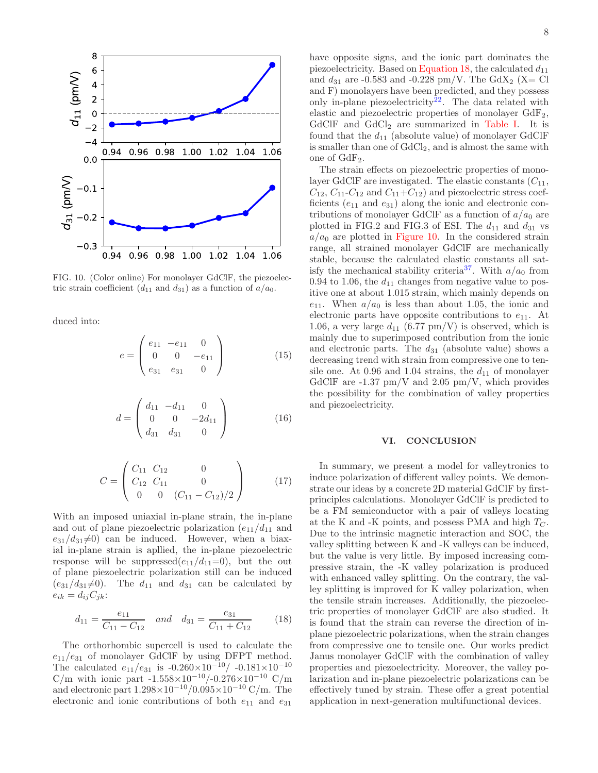

FIG. 10. (Color online) For monolayer GdClF, the piezoelectric strain coefficient  $(d_{11} \text{ and } d_{31})$  as a function of  $a/a_0$ .

duced into:

$$
e = \begin{pmatrix} e_{11} & -e_{11} & 0 \\ 0 & 0 & -e_{11} \\ e_{31} & e_{31} & 0 \end{pmatrix}
$$
 (15)

$$
d = \begin{pmatrix} d_{11} & -d_{11} & 0 \\ 0 & 0 & -2d_{11} \\ d_{31} & d_{31} & 0 \end{pmatrix}
$$
 (16)

$$
C = \begin{pmatrix} C_{11} & C_{12} & 0 \\ C_{12} & C_{11} & 0 \\ 0 & 0 & (C_{11} - C_{12})/2 \end{pmatrix}
$$
 (17)

With an imposed uniaxial in-plane strain, the in-plane and out of plane piezoelectric polarization  $(e_{11}/d_{11})$  and  $e_{31}/d_{31}\neq 0$  can be induced. However, when a biaxial in-plane strain is apllied, the in-plane piezoelectric response will be suppressed $(e_{11}/d_{11}=0)$ , but the out of plane piezoelectric polarization still can be induced  $(e_{31}/d_{31}\neq 0)$ . The  $d_{11}$  and  $d_{31}$  can be calculated by  $e_{ik} = d_{ij}C_{jk}$ :

$$
d_{11} = \frac{e_{11}}{C_{11} - C_{12}} \quad and \quad d_{31} = \frac{e_{31}}{C_{11} + C_{12}} \tag{18}
$$

The orthorhombic supercell is used to calculate the  $e_{11}/e_{31}$  of monolayer GdClF by using DFPT method. The calculated  $e_{11}/e_{31}$  is  $-0.260\times10^{-10}/-0.181\times10^{-10}$ C/m with ionic part -1.558×10<sup>-10</sup>/-0.276×10<sup>-10</sup> C/m and electronic part  $1.298 \times 10^{-10}/0.095 \times 10^{-10}$  C/m. The electronic and ionic contributions of both  $e_{11}$  and  $e_{31}$ 

have opposite signs, and the ionic part dominates the piezoelectricity. Based on Equation 18, the calculated  $d_{11}$ and  $d_{31}$  are -0.583 and -0.228 pm/V. The GdX<sub>2</sub> (X= Cl and F) monolayers have been predicted, and they possess only in-plane piezoelectricity<sup>22</sup>. The data related with elastic and piezoelectric properties of monolayer GdF2, GdClF and  $GdCl<sub>2</sub>$  are summarized in Table I. It is found that the  $d_{11}$  (absolute value) of monolayer GdClF is smaller than one of  $GdCl<sub>2</sub>$ , and is almost the same with one of  $GdF_2$ .

The strain effects on piezoelectric properties of monolayer GdClF are investigated. The elastic constants  $(C_{11},$  $C_{12}$ ,  $C_{11}$ - $C_{12}$  and  $C_{11}$ + $C_{12}$ ) and piezoelectric stress coefficients  $(e_{11}$  and  $e_{31})$  along the ionic and electronic contributions of monolayer GdClF as a function of  $a/a_0$  are plotted in FIG.2 and FIG.3 of ESI. The  $d_{11}$  and  $d_{31}$  vs  $a/a_0$  are plotted in Figure 10. In the considered strain range, all strained monolayer GdClF are mechanically stable, because the calculated elastic constants all satisfy the mechanical stability criteria<sup>37</sup>. With  $a/a<sub>0</sub>$  from 0.94 to 1.06, the  $d_{11}$  changes from negative value to positive one at about 1.015 strain, which mainly depends on  $e_{11}$ . When  $a/a_0$  is less than about 1.05, the ionic and electronic parts have opposite contributions to  $e_{11}$ . At 1.06, a very large  $d_{11}$  (6.77 pm/V) is observed, which is mainly due to superimposed contribution from the ionic and electronic parts. The  $d_{31}$  (absolute value) shows a decreasing trend with strain from compressive one to tensile one. At 0.96 and 1.04 strains, the  $d_{11}$  of monolayer GdClF are  $-1.37$  pm/V and  $2.05$  pm/V, which provides the possibility for the combination of valley properties and piezoelectricity.

### VI. CONCLUSION

In summary, we present a model for valleytronics to induce polarization of different valley points. We demonstrate our ideas by a concrete 2D material GdClF by firstprinciples calculations. Monolayer GdClF is predicted to be a FM semiconductor with a pair of valleys locating at the K and -K points, and possess PMA and high  $T<sub>C</sub>$ . Due to the intrinsic magnetic interaction and SOC, the valley splitting between K and -K valleys can be induced, but the value is very little. By imposed increasing compressive strain, the -K valley polarization is produced with enhanced valley splitting. On the contrary, the valley splitting is improved for K valley polarization, when the tensile strain increases. Additionally, the piezoelectric properties of monolayer GdClF are also studied. It is found that the strain can reverse the direction of inplane piezoelectric polarizations, when the strain changes from compressive one to tensile one. Our works predict Janus monolayer GdClF with the combination of valley properties and piezoelectricity. Moreover, the valley polarization and in-plane piezoelectric polarizations can be effectively tuned by strain. These offer a great potential application in next-generation multifunctional devices.